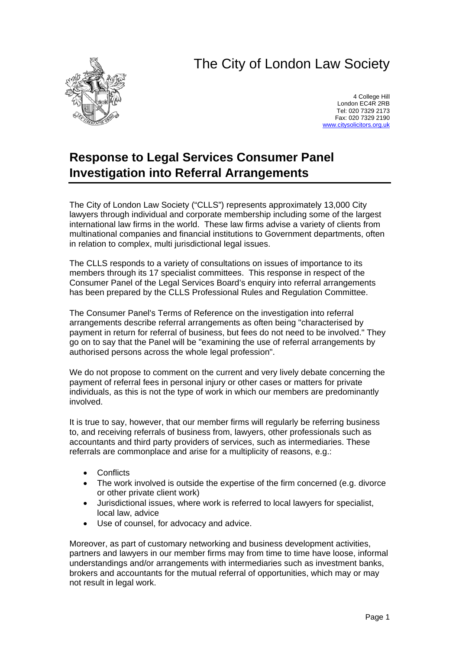## The City of London Law Society



4 College Hill London EC4R 2RB Tel: 020 7329 2173 Fax: 020 7329 2190 [www.citysolicitors.org.uk](http://www.citysolicitors.org.uk/)

## **Response to Legal Services Consumer Panel Investigation into Referral Arrangements**

The City of London Law Society ("CLLS") represents approximately 13,000 City lawyers through individual and corporate membership including some of the largest international law firms in the world. These law firms advise a variety of clients from multinational companies and financial institutions to Government departments, often in relation to complex, multi jurisdictional legal issues.

The CLLS responds to a variety of consultations on issues of importance to its members through its 17 specialist committees. This response in respect of the Consumer Panel of the Legal Services Board's enquiry into referral arrangements has been prepared by the CLLS Professional Rules and Regulation Committee.

The Consumer Panel's Terms of Reference on the investigation into referral arrangements describe referral arrangements as often being "characterised by payment in return for referral of business, but fees do not need to be involved." They go on to say that the Panel will be "examining the use of referral arrangements by authorised persons across the whole legal profession".

We do not propose to comment on the current and very lively debate concerning the payment of referral fees in personal injury or other cases or matters for private individuals, as this is not the type of work in which our members are predominantly involved.

It is true to say, however, that our member firms will regularly be referring business to, and receiving referrals of business from, lawyers, other professionals such as accountants and third party providers of services, such as intermediaries. These referrals are commonplace and arise for a multiplicity of reasons, e.g.:

- Conflicts
- The work involved is outside the expertise of the firm concerned (e.g. divorce or other private client work)
- Jurisdictional issues, where work is referred to local lawyers for specialist, local law, advice
- Use of counsel, for advocacy and advice.

Moreover, as part of customary networking and business development activities, partners and lawyers in our member firms may from time to time have loose, informal understandings and/or arrangements with intermediaries such as investment banks, brokers and accountants for the mutual referral of opportunities, which may or may not result in legal work.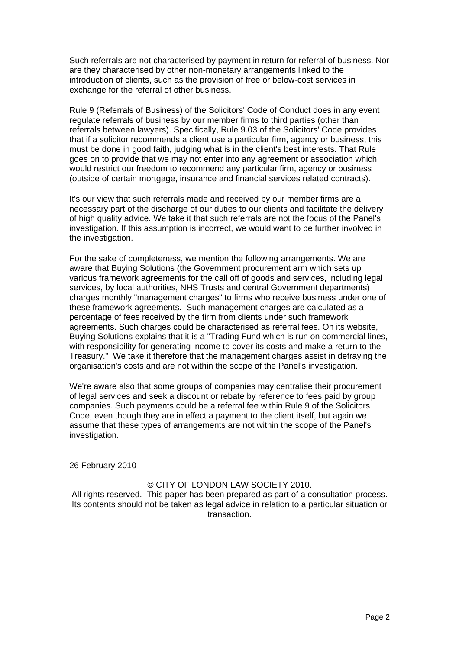Such referrals are not characterised by payment in return for referral of business. Nor are they characterised by other non-monetary arrangements linked to the introduction of clients, such as the provision of free or below-cost services in exchange for the referral of other business.

Rule 9 (Referrals of Business) of the Solicitors' Code of Conduct does in any event regulate referrals of business by our member firms to third parties (other than referrals between lawyers). Specifically, Rule 9.03 of the Solicitors' Code provides that if a solicitor recommends a client use a particular firm, agency or business, this must be done in good faith, judging what is in the client's best interests. That Rule goes on to provide that we may not enter into any agreement or association which would restrict our freedom to recommend any particular firm, agency or business (outside of certain mortgage, insurance and financial services related contracts).

It's our view that such referrals made and received by our member firms are a necessary part of the discharge of our duties to our clients and facilitate the delivery of high quality advice. We take it that such referrals are not the focus of the Panel's investigation. If this assumption is incorrect, we would want to be further involved in the investigation.

For the sake of completeness, we mention the following arrangements. We are aware that Buying Solutions (the Government procurement arm which sets up various framework agreements for the call off of goods and services, including legal services, by local authorities, NHS Trusts and central Government departments) charges monthly "management charges" to firms who receive business under one of these framework agreements. Such management charges are calculated as a percentage of fees received by the firm from clients under such framework agreements. Such charges could be characterised as referral fees. On its website, Buying Solutions explains that it is a "Trading Fund which is run on commercial lines, with responsibility for generating income to cover its costs and make a return to the Treasury." We take it therefore that the management charges assist in defraying the organisation's costs and are not within the scope of the Panel's investigation.

We're aware also that some groups of companies may centralise their procurement of legal services and seek a discount or rebate by reference to fees paid by group companies. Such payments could be a referral fee within Rule 9 of the Solicitors Code, even though they are in effect a payment to the client itself, but again we assume that these types of arrangements are not within the scope of the Panel's investigation.

26 February 2010

## © CITY OF LONDON LAW SOCIETY 2010.

All rights reserved. This paper has been prepared as part of a consultation process. Its contents should not be taken as legal advice in relation to a particular situation or transaction.